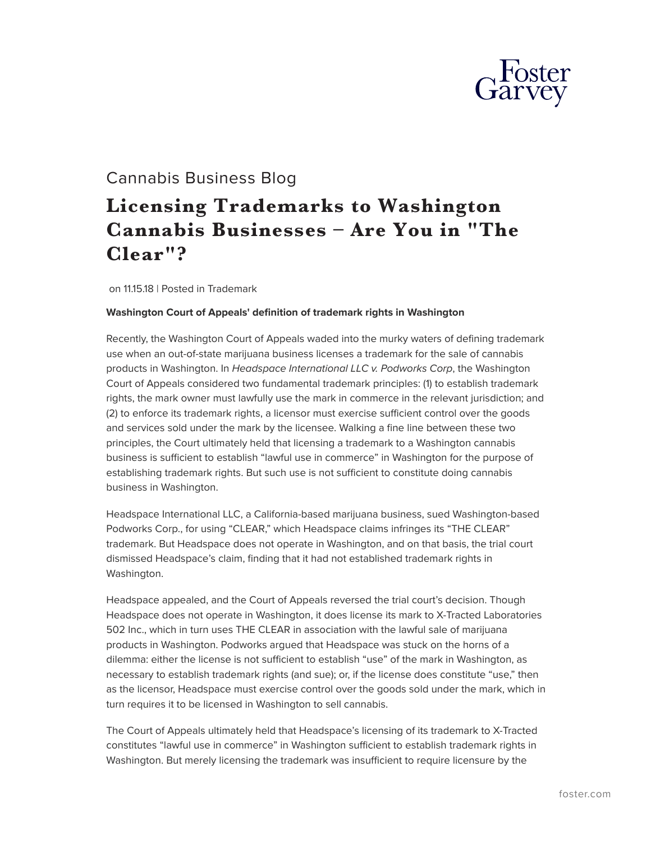

## Cannabis Business Blog

# **Licensing Trademarks to Washington Cannabis Businesses – Are You in "The Clear"?**

on 11.15.18 | Posted in Trademark

#### **Washington Court of Appeals' definition of trademark rights in Washington**

Recently, the Washington Court of Appeals waded into the murky waters of defining trademark use when an out-of-state marijuana business licenses a trademark for the sale of cannabis products in Washington. In *Headspace International LLC v. Podworks Corp*, the Washington Court of Appeals considered two fundamental trademark principles: (1) to establish trademark rights, the mark owner must lawfully use the mark in commerce in the relevant jurisdiction; and (2) to enforce its trademark rights, a licensor must exercise sufficient control over the goods and services sold under the mark by the licensee. Walking a fine line between these two principles, the Court ultimately held that licensing a trademark to a Washington cannabis business is sufficient to establish "lawful use in commerce" in Washington for the purpose of establishing trademark rights. But such use is not sufficient to constitute doing cannabis business in Washington.

Headspace International LLC, a California-based marijuana business, sued Washington-based Podworks Corp., for using "CLEAR," which Headspace claims infringes its "THE CLEAR" trademark. But Headspace does not operate in Washington, and on that basis, the trial court dismissed Headspace's claim, finding that it had not established trademark rights in Washington.

Headspace appealed, and the Court of Appeals reversed the trial court's decision. Though Headspace does not operate in Washington, it does license its mark to X-Tracted Laboratories 502 Inc., which in turn uses THE CLEAR in association with the lawful sale of marijuana products in Washington. Podworks argued that Headspace was stuck on the horns of a dilemma: either the license is not sufficient to establish "use" of the mark in Washington, as necessary to establish trademark rights (and sue); or, if the license does constitute "use," then as the licensor, Headspace must exercise control over the goods sold under the mark, which in turn requires it to be licensed in Washington to sell cannabis.

The Court of Appeals ultimately held that Headspace's licensing of its trademark to X-Tracted constitutes "lawful use in commerce" in Washington sufficient to establish trademark rights in Washington. But merely licensing the trademark was insufficient to require licensure by the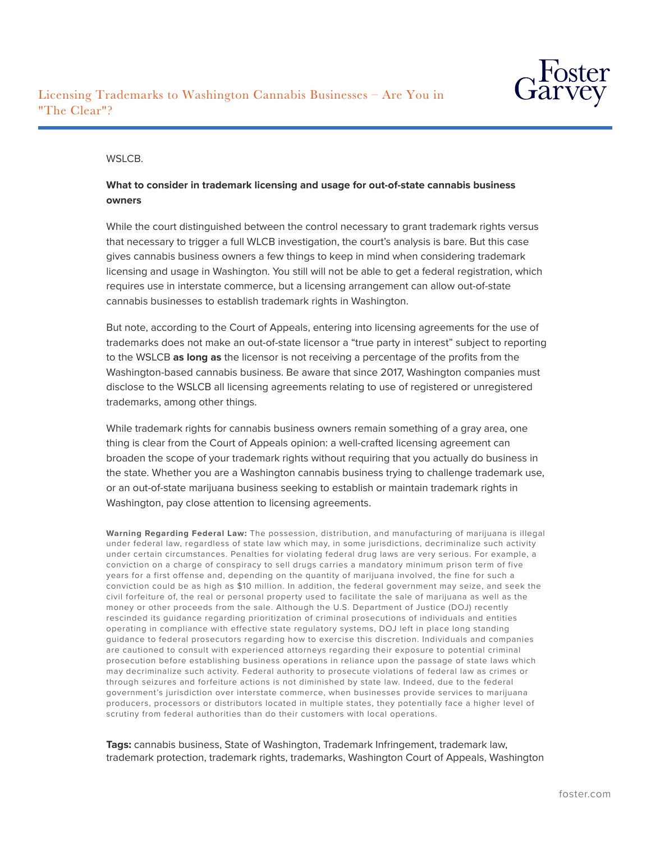

#### WSLCB.

### **What to consider in trademark licensing and usage for out-of-state cannabis business owners**

While the court distinguished between the control necessary to grant trademark rights versus that necessary to trigger a full WLCB investigation, the court's analysis is bare. But this case gives cannabis business owners a few things to keep in mind when considering trademark licensing and usage in Washington. You still will not be able to get a federal registration, which requires use in interstate commerce, but a licensing arrangement can allow out-of-state cannabis businesses to establish trademark rights in Washington.

But note, according to the Court of Appeals, entering into licensing agreements for the use of trademarks does not make an out-of-state licensor a "true party in interest" subject to reporting to the WSLCB **as long as** the licensor is not receiving a percentage of the profits from the Washington-based cannabis business. Be aware that since 2017, Washington companies must disclose to the WSLCB all licensing agreements relating to use of registered or unregistered trademarks, among other things.

While trademark rights for cannabis business owners remain something of a gray area, one thing is clear from the Court of Appeals opinion: a well-crafted licensing agreement can broaden the scope of your trademark rights without requiring that you actually do business in the state. Whether you are a Washington cannabis business trying to challenge trademark use, or an out-of-state marijuana business seeking to establish or maintain trademark rights in Washington, pay close attention to licensing agreements.

**Warning Regarding Federal Law:** The possession, distribution, and manufacturing of marijuana is illegal under federal law, regardless of state law which may, in some jurisdictions, decriminalize such activity under certain circumstances. Penalties for violating federal drug laws are very serious. For example, a conviction on a charge of conspiracy to sell drugs carries a mandatory minimum prison term of five years for a first offense and, depending on the quantity of marijuana involved, the fine for such a conviction could be as high as \$10 million. In addition, the federal government may seize, and seek the civil forfeiture of, the real or personal property used to facilitate the sale of marijuana as well as the money or other proceeds from the sale. Although the U.S. Department of Justice (DOJ) recently rescinded its guidance regarding prioritization of criminal prosecutions of individuals and entities operating in compliance with effective state regulatory systems, DOJ left in place long standing guidance to federal prosecutors regarding how to exercise this discretion. Individuals and companies are cautioned to consult with experienced attorneys regarding their exposure to potential criminal prosecution before establishing business operations in reliance upon the passage of state laws which may decriminalize such activity. Federal authority to prosecute violations of federal law as crimes or through seizures and forfeiture actions is not diminished by state law. Indeed, due to the federal government's jurisdiction over interstate commerce, when businesses provide services to marijuana producers, processors or distributors located in multiple states, they potentially face a higher level of scrutiny from federal authorities than do their customers with local operations.

**Tags:** cannabis business, State of Washington, Trademark Infringement, trademark law, trademark protection, trademark rights, trademarks, Washington Court of Appeals, Washington